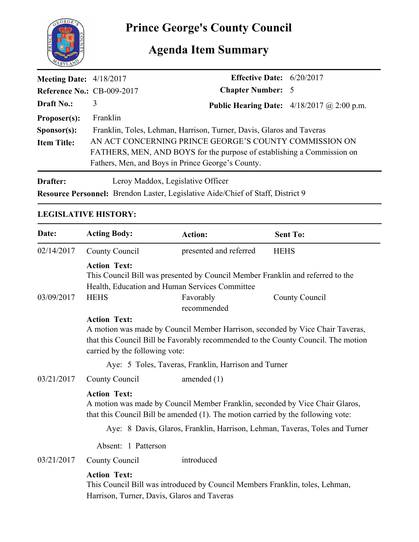

# **Agenda Item Summary**

| <b>Meeting Date:</b> $4/18/2017$  |                                                                        | <b>Effective Date:</b> $6/20/2017$ |                                                     |  |
|-----------------------------------|------------------------------------------------------------------------|------------------------------------|-----------------------------------------------------|--|
| <b>Reference No.: CB-009-2017</b> |                                                                        | <b>Chapter Number: 5</b>           |                                                     |  |
| <b>Draft No.:</b>                 | 3                                                                      |                                    | <b>Public Hearing Date:</b> $4/18/2017$ @ 2:00 p.m. |  |
| Proposer(s):                      | Franklin                                                               |                                    |                                                     |  |
| S <b>p</b> onsor(s):              | Franklin, Toles, Lehman, Harrison, Turner, Davis, Glaros and Taveras   |                                    |                                                     |  |
| <b>Item Title:</b>                | AN ACT CONCERNING PRINCE GEORGE'S COUNTY COMMISSION ON                 |                                    |                                                     |  |
|                                   | FATHERS, MEN, AND BOYS for the purpose of establishing a Commission on |                                    |                                                     |  |
|                                   | Fathers, Men, and Boys in Prince George's County.                      |                                    |                                                     |  |
| Drafter:                          | Leroy Maddox, Legislative Officer                                      |                                    |                                                     |  |

**Resource Personnel:** Brendon Laster, Legislative Aide/Chief of Staff, District 9

## **LEGISLATIVE HISTORY:**

| Date:                                                                       | <b>Acting Body:</b>                                  | <b>Action:</b>                                                                                                                                                                                       | <b>Sent To:</b> |  |  |
|-----------------------------------------------------------------------------|------------------------------------------------------|------------------------------------------------------------------------------------------------------------------------------------------------------------------------------------------------------|-----------------|--|--|
| 02/14/2017                                                                  | County Council                                       | presented and referred                                                                                                                                                                               | <b>HEHS</b>     |  |  |
| 03/09/2017                                                                  | <b>Action Text:</b><br><b>HEHS</b>                   | This Council Bill was presented by Council Member Franklin and referred to the<br>Health, Education and Human Services Committee<br>Favorably<br>recommended                                         | County Council  |  |  |
|                                                                             | <b>Action Text:</b>                                  | A motion was made by Council Member Harrison, seconded by Vice Chair Taveras,<br>that this Council Bill be Favorably recommended to the County Council. The motion<br>carried by the following vote: |                 |  |  |
|                                                                             | Aye: 5 Toles, Taveras, Franklin, Harrison and Turner |                                                                                                                                                                                                      |                 |  |  |
| 03/21/2017                                                                  | County Council                                       | amended $(1)$                                                                                                                                                                                        |                 |  |  |
|                                                                             | <b>Action Text:</b>                                  | A motion was made by Council Member Franklin, seconded by Vice Chair Glaros,<br>that this Council Bill be amended (1). The motion carried by the following vote:                                     |                 |  |  |
| Aye: 8 Davis, Glaros, Franklin, Harrison, Lehman, Taveras, Toles and Turner |                                                      |                                                                                                                                                                                                      |                 |  |  |
|                                                                             | Absent: 1 Patterson                                  |                                                                                                                                                                                                      |                 |  |  |
| 03/21/2017                                                                  | County Council                                       | introduced                                                                                                                                                                                           |                 |  |  |
|                                                                             | <b>Action Text:</b>                                  | This Council Bill was introduced by Council Members Franklin, toles, Lehman,<br>Harrison, Turner, Davis, Glaros and Taveras                                                                          |                 |  |  |